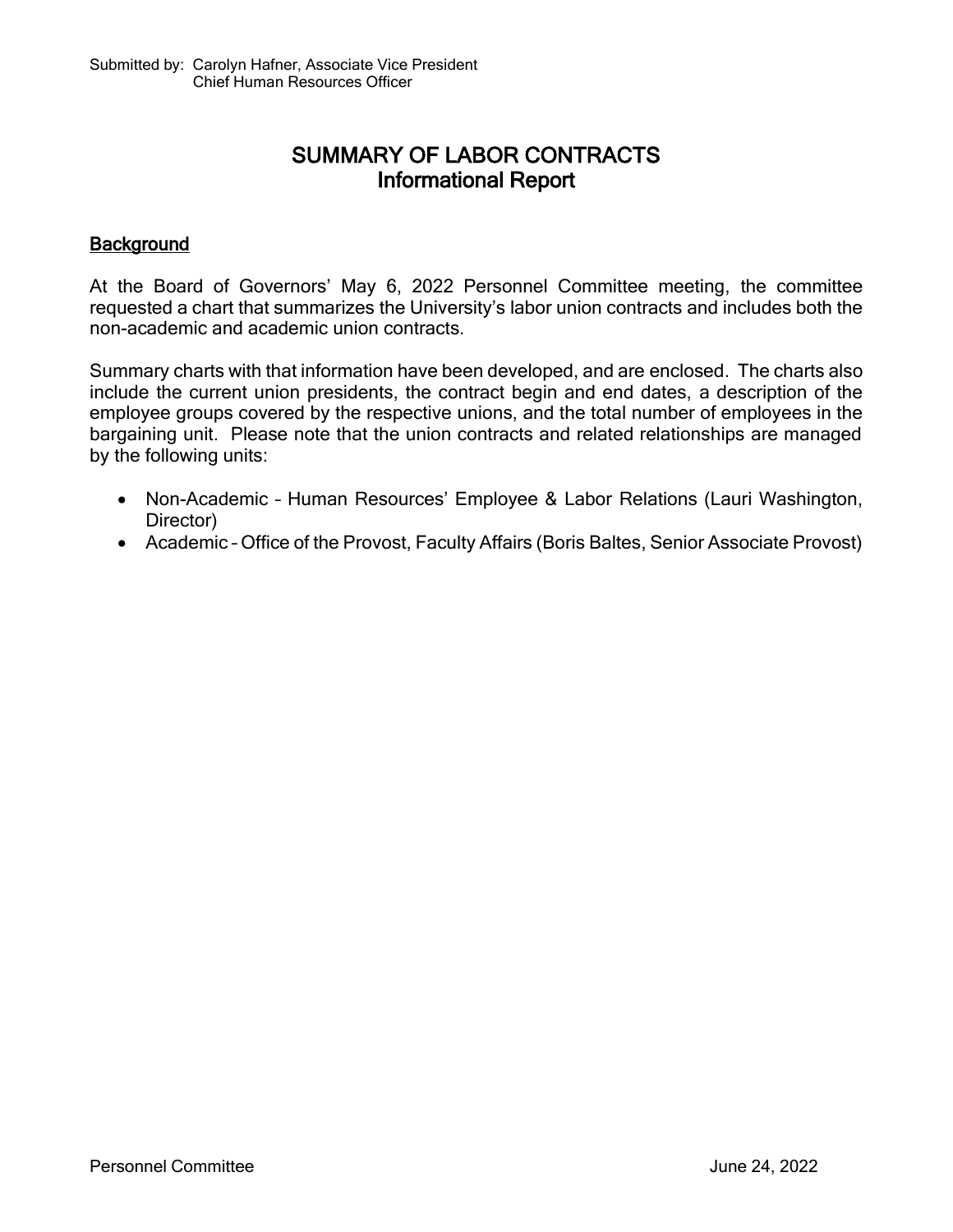## SUMMARY OF LABOR CONTRACTS Informational Report

## **Background**

At the Board of Governors' May 6, 2022 Personnel Committee meeting, the committee requested a chart that summarizes the University's labor union contracts and includes both the non-academic and academic union contracts.

Summary charts with that information have been developed, and are enclosed. The charts also include the current union presidents, the contract begin and end dates, a description of the employee groups covered by the respective unions, and the total number of employees in the bargaining unit. Please note that the union contracts and related relationships are managed by the following units:

- Non-Academic Human Resources' Employee & Labor Relations (Lauri Washington, Director)
- Academic Office of the Provost, Faculty Affairs (Boris Baltes, Senior Associate Provost)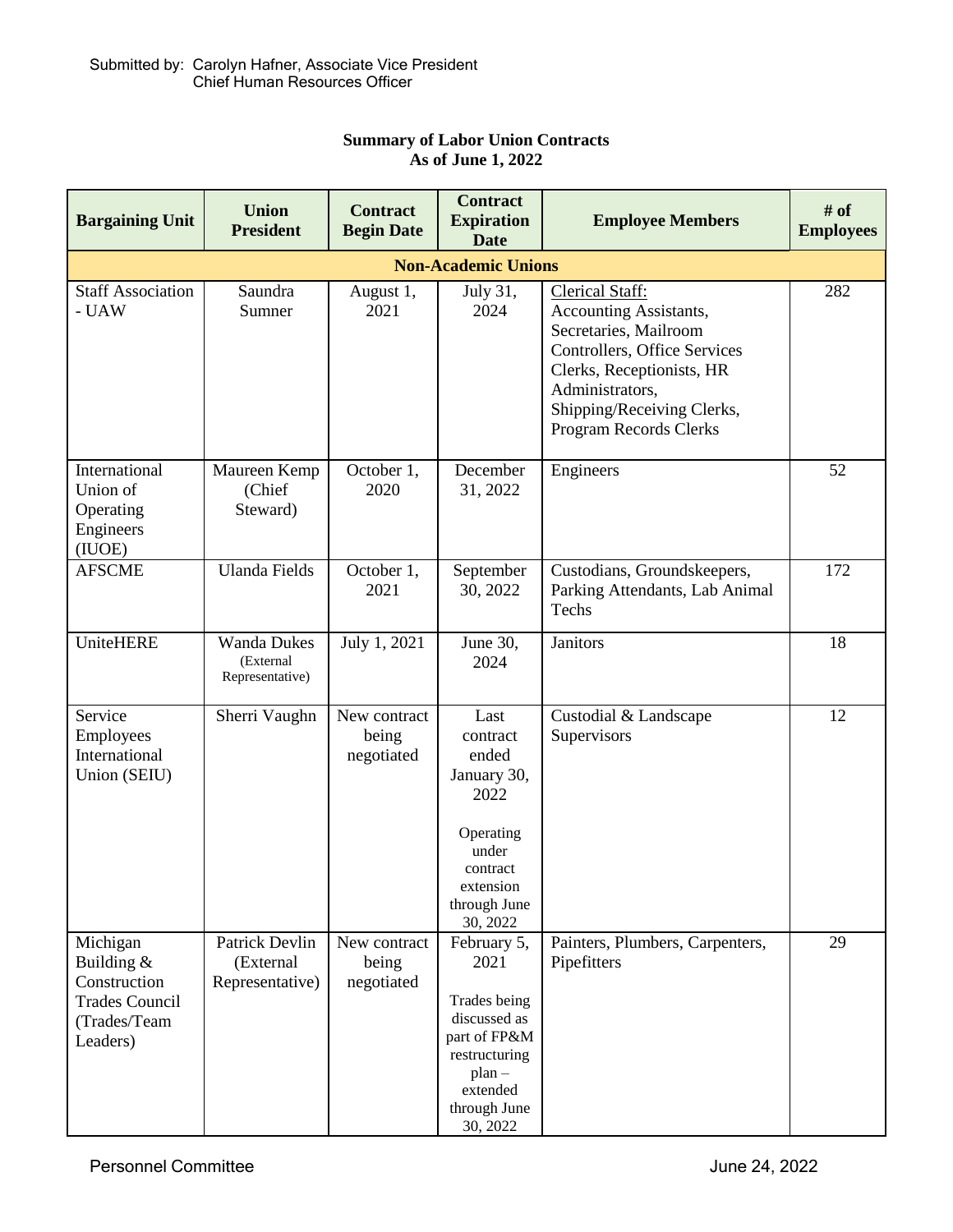| <b>Bargaining Unit</b>                                                                      | <b>Union</b><br><b>President</b>                   | <b>Contract</b><br><b>Begin Date</b> | <b>Contract</b><br><b>Expiration</b><br><b>Date</b>                                                                                      | <b>Employee Members</b>                                                                                                                                                                                                         | # of<br><b>Employees</b> |  |  |  |  |
|---------------------------------------------------------------------------------------------|----------------------------------------------------|--------------------------------------|------------------------------------------------------------------------------------------------------------------------------------------|---------------------------------------------------------------------------------------------------------------------------------------------------------------------------------------------------------------------------------|--------------------------|--|--|--|--|
| <b>Non-Academic Unions</b>                                                                  |                                                    |                                      |                                                                                                                                          |                                                                                                                                                                                                                                 |                          |  |  |  |  |
| <b>Staff Association</b><br>- UAW                                                           | Saundra<br>Sumner                                  | August 1,<br>2021                    | July 31,<br>2024                                                                                                                         | <b>Clerical Staff:</b><br><b>Accounting Assistants,</b><br>Secretaries, Mailroom<br>Controllers, Office Services<br>Clerks, Receptionists, HR<br>Administrators,<br>Shipping/Receiving Clerks,<br><b>Program Records Clerks</b> | 282                      |  |  |  |  |
| International<br>Union of<br>Operating<br>Engineers<br>(IUOE)                               | Maureen Kemp<br>(Chief<br>Steward)                 | October 1,<br>2020                   | December<br>31, 2022                                                                                                                     | Engineers                                                                                                                                                                                                                       | 52                       |  |  |  |  |
| <b>AFSCME</b>                                                                               | <b>Ulanda Fields</b>                               | October 1,<br>2021                   | September<br>30, 2022                                                                                                                    | Custodians, Groundskeepers,<br>Parking Attendants, Lab Animal<br>Techs                                                                                                                                                          | 172                      |  |  |  |  |
| UniteHERE                                                                                   | <b>Wanda Dukes</b><br>(External<br>Representative) | July 1, 2021                         | June 30,<br>2024                                                                                                                         | Janitors                                                                                                                                                                                                                        | 18                       |  |  |  |  |
| Service<br>Employees<br>International<br>Union (SEIU)                                       | Sherri Vaughn                                      | New contract<br>being<br>negotiated  | Last<br>contract<br>ended<br>January 30,<br>2022<br>Operating<br>under<br>contract<br>extension<br>through June<br>30, 2022              | Custodial & Landscape<br>Supervisors                                                                                                                                                                                            | 12                       |  |  |  |  |
| Michigan<br>Building &<br>Construction<br><b>Trades Council</b><br>(Trades/Team<br>Leaders) | Patrick Devlin<br>(External<br>Representative)     | New contract<br>being<br>negotiated  | February 5,<br>2021<br>Trades being<br>discussed as<br>part of FP&M<br>restructuring<br>$plan -$<br>extended<br>through June<br>30, 2022 | Painters, Plumbers, Carpenters,<br>Pipefitters                                                                                                                                                                                  | 29                       |  |  |  |  |

## **Summary of Labor Union Contracts As of June 1, 2022**